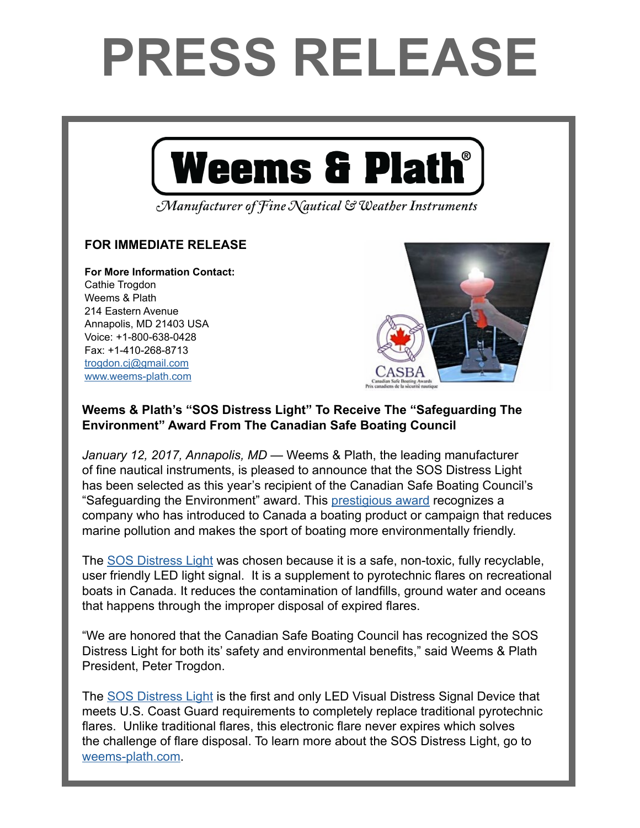## **PRESS RELEASE**



Manufacturer of Fine Nautical & Weather Instruments

## **FOR IMMEDIATE RELEASE**

**For More Information Contact:**  Cathie Trogdon Weems & Plath 214 Eastern Avenue Annapolis, MD 21403 USA Voice: +1-800-638-0428 Fax: +1-410-268-8713 [trogdon.cj@gmail.com](mailto:trogdon.cj%40gmail.com?subject=Regarding%20Press%20Release%20-%20On%20The%20Wind%20Sponsor) [www.weems-plath.com](http://www.weems-plath.com)



## **Weems & Plath's "SOS Distress Light" To Receive The "Safeguarding The Environment" Award From The Canadian Safe Boating Council**

*January 12, 2017, Annapolis, MD* — Weems & Plath, the leading manufacturer of fine nautical instruments, is pleased to announce that the SOS Distress Light has been selected as this year's recipient of the Canadian Safe Boating Council's "Safeguarding the Environment" award. This [prestigious award](http://csbc.ca/index.php/en/events/casbas) recognizes a company who has introduced to Canada a boating product or campaign that reduces marine pollution and makes the sport of boating more environmentally friendly.

The [SOS Distress Light](www.weems-plath.com/SOS-Distress-Light-Electronic-Flare.html) was chosen because it is a safe, non-toxic, fully recyclable, user friendly LED light signal. It is a supplement to pyrotechnic flares on recreational boats in Canada. It reduces the contamination of landfills, ground water and oceans that happens through the improper disposal of expired flares.

"We are honored that the Canadian Safe Boating Council has recognized the SOS Distress Light for both its' safety and environmental benefits," said Weems & Plath President, Peter Trogdon.

The [SOS Distress Light](www.weems-plath.com/SOS-Distress-Light-Electronic-Flare.html) is the first and only LED Visual Distress Signal Device that meets U.S. Coast Guard requirements to completely replace traditional pyrotechnic flares. Unlike traditional flares, this electronic flare never expires which solves the challenge of flare disposal. To learn more about the SOS Distress Light, go to [weems-plath.com.](http://weems-plath.com)